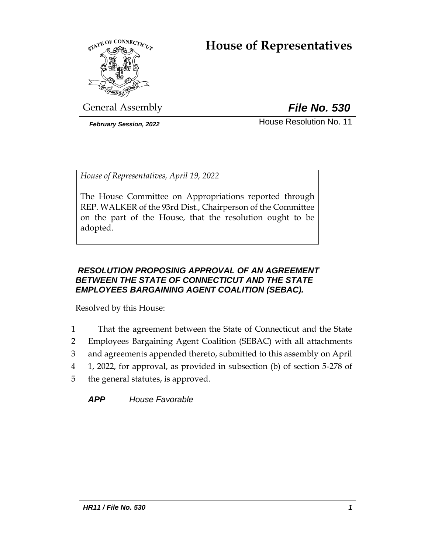# **House of Representatives**



General Assembly *File No. 530*

**February Session, 2022 House Resolution No. 11** 

*House of Representatives, April 19, 2022*

The House Committee on Appropriations reported through REP. WALKER of the 93rd Dist., Chairperson of the Committee on the part of the House, that the resolution ought to be adopted.

# *RESOLUTION PROPOSING APPROVAL OF AN AGREEMENT BETWEEN THE STATE OF CONNECTICUT AND THE STATE EMPLOYEES BARGAINING AGENT COALITION (SEBAC).*

Resolved by this House:

- 1 That the agreement between the State of Connecticut and the State
- 2 Employees Bargaining Agent Coalition (SEBAC) with all attachments
- 3 and agreements appended thereto, submitted to this assembly on April
- 4 1, 2022, for approval, as provided in subsection (b) of section 5-278 of
- 5 the general statutes, is approved.

*APP House Favorable*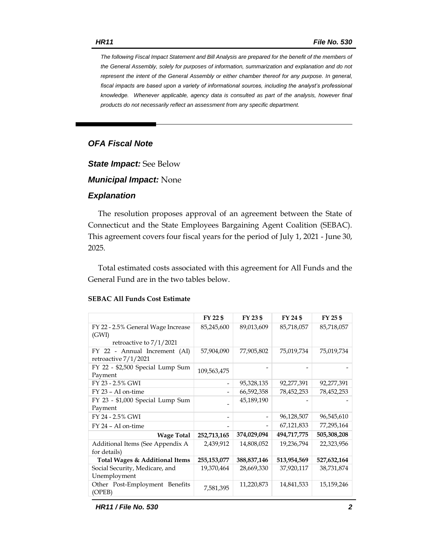*The following Fiscal Impact Statement and Bill Analysis are prepared for the benefit of the members of the General Assembly, solely for purposes of information, summarization and explanation and do not represent the intent of the General Assembly or either chamber thereof for any purpose. In general, fiscal impacts are based upon a variety of informational sources, including the analyst's professional knowledge. Whenever applicable, agency data is consulted as part of the analysis, however final products do not necessarily reflect an assessment from any specific department.*

# *OFA Fiscal Note*

*State Impact:* See Below

*Municipal Impact:* None

### *Explanation*

The resolution proposes approval of an agreement between the State of Connecticut and the State Employees Bargaining Agent Coalition (SEBAC). This agreement covers four fiscal years for the period of July 1, 2021 - June 30, 2025.

Total estimated costs associated with this agreement for All Funds and the General Fund are in the two tables below.

|                                                       | FY 22 \$                     | FY 23 \$      | FY 24 \$    | $FY$ 25 \$  |
|-------------------------------------------------------|------------------------------|---------------|-------------|-------------|
| FY 22 - 2.5% General Wage Increase<br>(GWI)           | 85,245,600                   | 89,013,609    | 85,718,057  | 85,718,057  |
| retroactive to $7/1/2021$                             |                              |               |             |             |
| FY 22 - Annual Increment (AI)<br>retroactive 7/1/2021 | 57,904,090                   | 77,905,802    | 75,019,734  | 75,019,734  |
| FY 22 - \$2,500 Special Lump Sum<br>Payment           | 109,563,475                  |               |             |             |
| FY 23 - 2.5% GWI                                      | $\qquad \qquad \blacksquare$ | 95,328,135    | 92,277,391  | 92,277,391  |
| FY 23 - AI on-time                                    |                              | 66,592,358    | 78,452,253  | 78,452,253  |
| FY 23 - \$1,000 Special Lump Sum<br>Payment           |                              | 45,189,190    |             |             |
| FY 24 - 2.5% GWI                                      |                              |               | 96,128,507  | 96,545,610  |
| FY 24 - AI on-time                                    |                              |               | 67,121,833  | 77,295,164  |
| <b>Wage Total</b>                                     | 252,713,165                  | 374,029,094   | 494,717,775 | 505,308,208 |
| Additional Items (See Appendix A<br>for details)      | 2,439,912                    | 14,808,052    | 19,236,794  | 22,323,956  |
| Total Wages & Additional Items                        | 255,153,077                  | 388, 837, 146 | 513,954,569 | 527,632,164 |
| Social Security, Medicare, and<br>Unemployment        | 19,370,464                   | 28,669,330    | 37,920,117  | 38,731,874  |
| Other Post-Employment Benefits<br>(OPEB)              | 7,581,395                    | 11,220,873    | 14,841,533  | 15,159,246  |

### **SEBAC All Funds Cost Estimate**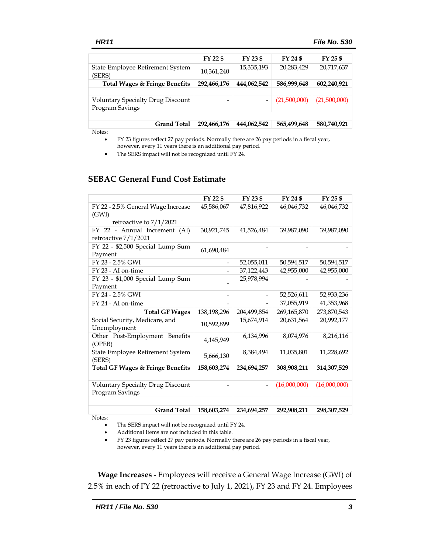|                                                             | FY 22 \$    | FY 23 \$    | FY 24 \$     | FY 25 \$     |
|-------------------------------------------------------------|-------------|-------------|--------------|--------------|
| State Employee Retirement System<br>(SERS)                  | 10,361,240  | 15,335,193  | 20,283,429   | 20,717,637   |
| Total Wages & Fringe Benefits                               | 292,466,176 | 444,062,542 | 586,999,648  | 602,240,921  |
|                                                             |             |             |              |              |
| <b>Voluntary Specialty Drug Discount</b><br>Program Savings |             | -           | (21,500,000) | (21,500,000) |
|                                                             |             |             |              |              |
| <b>Grand Total</b>                                          | 292,466,176 | 444,062,542 | 565,499,648  | 580,740,921  |
|                                                             |             |             |              |              |

Notes:

• FY 23 figures reflect 27 pay periods. Normally there are 26 pay periods in a fiscal year, however, every 11 years there is an additional pay period.

• The SERS impact will not be recognized until FY 24.

### **SEBAC General Fund Cost Estimate**

|                                                             | FY 22 \$    | FY 23 \$    | FY 24 \$     | FY 25 \$     |
|-------------------------------------------------------------|-------------|-------------|--------------|--------------|
| FY 22 - 2.5% General Wage Increase<br>(GWI)                 | 45,586,067  | 47,816,922  | 46,046,732   | 46,046,732   |
| retroactive to $7/1/2021$                                   |             |             |              |              |
| FY 22 - Annual Increment (AI)<br>retroactive 7/1/2021       | 30,921,745  | 41,526,484  | 39,987,090   | 39,987,090   |
| FY 22 - \$2,500 Special Lump Sum<br>Payment                 | 61,690,484  |             |              |              |
| FY 23 - 2.5% GWI                                            |             | 52,055,011  | 50,594,517   | 50,594,517   |
| FY 23 - AI on-time                                          |             | 37,122,443  | 42,955,000   | 42,955,000   |
| FY 23 - \$1,000 Special Lump Sum<br>Payment                 |             | 25,978,994  |              |              |
| FY 24 - 2.5% GWI                                            |             |             | 52,526,611   | 52,933,236   |
| FY 24 - AI on-time                                          |             |             | 37,055,919   | 41,353,968   |
| <b>Total GF Wages</b>                                       | 138,198,296 | 204,499,854 | 269,165,870  | 273,870,543  |
| Social Security, Medicare, and<br>Unemployment              | 10.592.899  | 15,674,914  | 20,631,564   | 20,992,177   |
| Other Post-Employment Benefits<br>(OPEB)                    | 4,145,949   | 6,134,996   | 8,074,976    | 8,216,116    |
| State Employee Retirement System<br>(SERS)                  | 5,666,130   | 8,384,494   | 11,035,801   | 11,228,692   |
| <b>Total GF Wages &amp; Fringe Benefits</b>                 | 158,603,274 | 234,694,257 | 308,908,211  | 314,307,529  |
|                                                             |             |             |              |              |
| <b>Voluntary Specialty Drug Discount</b><br>Program Savings |             |             | (16,000,000) | (16,000,000) |
|                                                             |             |             |              |              |
| <b>Grand Total</b>                                          | 158,603,274 | 234,694,257 | 292,908,211  | 298,307,529  |
| Notes:                                                      |             |             |              |              |

• The SERS impact will not be recognized until FY 24. • Additional Items are not included in this table.

• FY 23 figures reflect 27 pay periods. Normally there are 26 pay periods in a fiscal year, however, every 11 years there is an additional pay period.

**Wage Increases** - Employees will receive a General Wage Increase (GWI) of 2.5% in each of FY 22 (retroactive to July 1, 2021), FY 23 and FY 24. Employees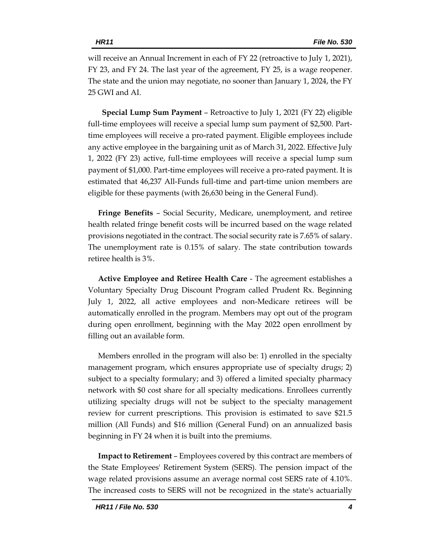will receive an Annual Increment in each of FY 22 (retroactive to July 1, 2021), FY 23, and FY 24. The last year of the agreement, FY 25, is a wage reopener. The state and the union may negotiate, no sooner than January 1, 2024, the FY 25 GWI and AI.

 **Special Lump Sum Payment** – Retroactive to July 1, 2021 (FY 22) eligible full-time employees will receive a special lump sum payment of \$2,500. Parttime employees will receive a pro-rated payment. Eligible employees include any active employee in the bargaining unit as of March 31, 2022. Effective July 1, 2022 (FY 23) active, full-time employees will receive a special lump sum payment of \$1,000. Part-time employees will receive a pro-rated payment. It is estimated that 46,237 All-Funds full-time and part-time union members are eligible for these payments (with 26,630 being in the General Fund).

**Fringe Benefits** – Social Security, Medicare, unemployment, and retiree health related fringe benefit costs will be incurred based on the wage related provisions negotiated in the contract. The social security rate is 7.65% of salary. The unemployment rate is 0.15% of salary. The state contribution towards retiree health is 3%.

**Active Employee and Retiree Health Care** - The agreement establishes a Voluntary Specialty Drug Discount Program called Prudent Rx. Beginning July 1, 2022, all active employees and non-Medicare retirees will be automatically enrolled in the program. Members may opt out of the program during open enrollment, beginning with the May 2022 open enrollment by filling out an available form.

Members enrolled in the program will also be: 1) enrolled in the specialty management program, which ensures appropriate use of specialty drugs; 2) subject to a specialty formulary; and 3) offered a limited specialty pharmacy network with \$0 cost share for all specialty medications. Enrollees currently utilizing specialty drugs will not be subject to the specialty management review for current prescriptions. This provision is estimated to save \$21.5 million (All Funds) and \$16 million (General Fund) on an annualized basis beginning in FY 24 when it is built into the premiums.

**Impact to Retirement** – Employees covered by this contract are members of the State Employees' Retirement System (SERS). The pension impact of the wage related provisions assume an average normal cost SERS rate of 4.10%. The increased costs to SERS will not be recognized in the state's actuarially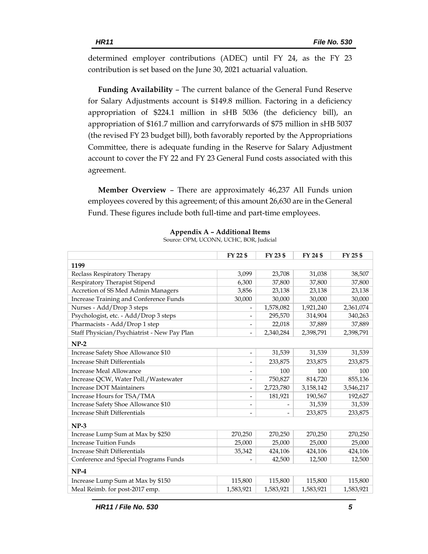determined employer contributions (ADEC) until FY 24, as the FY 23 contribution is set based on the June 30, 2021 actuarial valuation.

**Funding Availability** – The current balance of the General Fund Reserve for Salary Adjustments account is \$149.8 million. Factoring in a deficiency appropriation of \$224.1 million in sHB 5036 (the deficiency bill), an appropriation of \$161.7 million and carryforwards of \$75 million in sHB 5037 (the revised FY 23 budget bill), both favorably reported by the Appropriations Committee, there is adequate funding in the Reserve for Salary Adjustment account to cover the FY 22 and FY 23 General Fund costs associated with this agreement.

**Member Overview** – There are approximately 46,237 All Funds union employees covered by this agreement; of this amount 26,630 are in the General Fund. These figures include both full-time and part-time employees.

|                                             | FY 22 \$                 | FY 23 \$  | FY 24 \$  | FY 25 \$  |
|---------------------------------------------|--------------------------|-----------|-----------|-----------|
| 1199                                        |                          |           |           |           |
| Reclass Respiratory Therapy                 | 3,099                    | 23,708    | 31,038    | 38,507    |
| Respiratory Therapist Stipend               | 6,300                    | 37,800    | 37,800    | 37,800    |
| Accretion of SS Med Admin Managers          | 3,856                    | 23,138    | 23,138    | 23,138    |
| Increase Training and Conference Funds      | 30,000                   | 30,000    | 30,000    | 30,000    |
| Nurses - Add/Drop 3 steps                   |                          | 1,578,082 | 1,921,240 | 2,361,074 |
| Psychologist, etc. - Add/Drop 3 steps       |                          | 295,570   | 314,904   | 340,263   |
| Pharmacists - Add/Drop 1 step               |                          | 22,018    | 37,889    | 37,889    |
| Staff Physician/Psychiatrist - New Pay Plan |                          | 2,340,284 | 2,398,791 | 2,398,791 |
| $NP-2$                                      |                          |           |           |           |
| Increase Safety Shoe Allowance \$10         | $\overline{\phantom{0}}$ | 31,539    | 31,539    | 31,539    |
| <b>Increase Shift Differentials</b>         |                          | 233,875   | 233,875   | 233,875   |
| Increase Meal Allowance                     |                          | 100       | 100       | 100       |
| Increase QCW, Water Poll./Wastewater        | -                        | 750,827   | 814,720   | 855,136   |
| <b>Increase DOT Maintainers</b>             |                          | 2,723,780 | 3,158,142 | 3,546,217 |
| Increase Hours for TSA/TMA                  | $\overline{\phantom{0}}$ | 181,921   | 190,567   | 192,627   |
| Increase Safety Shoe Allowance \$10         | $\overline{\phantom{a}}$ |           | 31,539    | 31,539    |
| <b>Increase Shift Differentials</b>         |                          |           | 233,875   | 233,875   |
| $NP-3$                                      |                          |           |           |           |
| Increase Lump Sum at Max by \$250           | 270,250                  | 270,250   | 270,250   | 270,250   |
| <b>Increase Tuition Funds</b>               | 25,000                   | 25,000    | 25,000    | 25,000    |
| <b>Increase Shift Differentials</b>         | 35,342                   | 424,106   | 424,106   | 424,106   |
| Conference and Special Programs Funds       |                          | 42,500    | 12,500    | 12,500    |
| $NP-4$                                      |                          |           |           |           |
| Increase Lump Sum at Max by \$150           | 115,800                  | 115,800   | 115,800   | 115,800   |
| Meal Reimb. for post-2017 emp.              | 1,583,921                | 1,583,921 | 1,583,921 | 1,583,921 |

**Appendix A – Additional Items**

| Source: OPM, UCONN, UCHC, BOR, Judicial |  |  |  |  |
|-----------------------------------------|--|--|--|--|
|-----------------------------------------|--|--|--|--|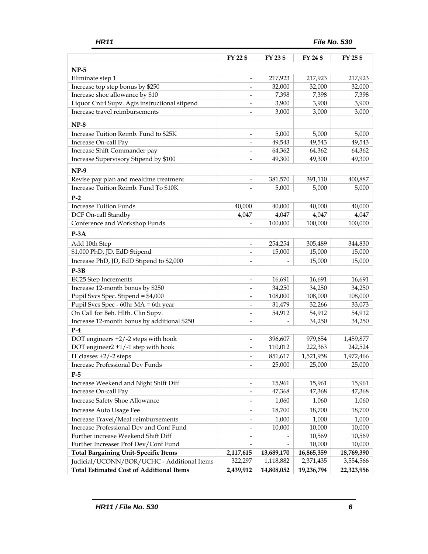|                                                 | FY 22 \$                     | FY 23 \$   | FY 24 \$   | FY 25 \$   |
|-------------------------------------------------|------------------------------|------------|------------|------------|
| $NP-5$                                          |                              |            |            |            |
| Eliminate step 1                                | $\qquad \qquad \blacksquare$ | 217,923    | 217,923    | 217,923    |
| Increase top step bonus by \$250                | $\overline{a}$               | 32,000     | 32,000     | 32,000     |
| Increase shoe allowance by \$10                 |                              | 7,398      | 7,398      | 7,398      |
| Liquor Cntrl Supv. Agts instructional stipend   |                              | 3,900      | 3,900      | 3,900      |
| Increase travel reimbursements                  |                              | 3,000      | 3,000      | 3,000      |
| $NP-8$                                          |                              |            |            |            |
| Increase Tuition Reimb. Fund to \$25K           | $\overline{\phantom{a}}$     | 5,000      | 5,000      | 5,000      |
| Increase On-call Pay                            |                              | 49,543     | 49,543     | 49,543     |
| Increase Shift Commander pay                    | $\overline{\phantom{a}}$     | 64,362     | 64,362     | 64,362     |
| Increase Supervisory Stipend by \$100           |                              | 49,300     | 49,300     | 49,300     |
| $NP-9$                                          |                              |            |            |            |
| Revise pay plan and mealtime treatment          |                              | 381,570    | 391,110    | 400,887    |
| Increase Tuition Reimb. Fund To \$10K           |                              | 5,000      | 5,000      | 5,000      |
| $P-2$                                           |                              |            |            |            |
| <b>Increase Tuition Funds</b>                   | 40,000                       | 40,000     | 40,000     | 40,000     |
| DCF On-call Standby                             | 4,047                        | 4,047      | 4,047      | 4,047      |
| Conference and Workshop Funds                   |                              | 100,000    | 100,000    | 100,000    |
| $P-3A$                                          |                              |            |            |            |
| Add 10th Step                                   | $\overline{\phantom{a}}$     | 254,254    | 305,489    | 344,830    |
| \$1,000 PhD, JD, EdD Stipend                    | $\qquad \qquad \blacksquare$ | 15,000     | 15,000     | 15,000     |
| Increase PhD, JD, EdD Stipend to \$2,000        |                              |            | 15,000     | 15,000     |
| $P-3B$                                          |                              |            |            |            |
| EC25 Step Increments                            | $\overline{\phantom{m}}$     | 16,691     | 16,691     | 16,691     |
| Increase 12-month bonus by \$250                |                              | 34,250     | 34,250     | 34,250     |
| Pupil Svcs Spec. Stipend = \$4,000              | $\overline{\phantom{0}}$     | 108,000    | 108,000    | 108,000    |
| Pupil Svcs Spec - 60hr MA = 6th year            | $\overline{\phantom{0}}$     | 31,479     | 32,266     | 33,073     |
| On Call for Beh. Hlth. Clin Supv.               | $\overline{\phantom{a}}$     | 54,912     | 54,912     | 54,912     |
| Increase 12-month bonus by additional \$250     | $\overline{\phantom{0}}$     |            | 34,250     | 34,250     |
| $P-4$                                           |                              |            |            |            |
| DOT engineers +2/-2 steps with hook             |                              | 396,607    | 979,654    | 1,459,877  |
| DOT engineer2 +1/-1 step with hook              |                              | 110,012    | 222,363    | 242,524    |
| IT classes +2/-2 steps                          | $\overline{\phantom{a}}$     | 851,617    | 1,521,958  | 1,972,466  |
| Increase Professional Dev Funds                 |                              | 25,000     | 25,000     | 25,000     |
| $P-5$                                           |                              |            |            |            |
| Increase Weekend and Night Shift Diff           | $\overline{\phantom{a}}$     | 15,961     | 15,961     | 15,961     |
| Increase On-call Pay                            | $\overline{\phantom{a}}$     | 47,368     | 47,368     | 47,368     |
| Increase Safety Shoe Allowance                  | $\overline{\phantom{a}}$     | 1,060      | 1,060      | 1,060      |
| Increase Auto Usage Fee                         |                              | 18,700     | 18,700     | 18,700     |
| Increase Travel/Meal reimbursements             | $\overline{\phantom{a}}$     | 1,000      | 1,000      | 1,000      |
| Increase Professional Dev and Conf Fund         | $\overline{\phantom{a}}$     | 10,000     | 10,000     | 10,000     |
| Further increase Weekend Shift Diff             |                              |            | 10,569     | 10,569     |
| Further Increaser Prof Dev/Conf Fund            |                              |            | 10,000     | 10,000     |
| <b>Total Bargaining Unit-Specific Items</b>     | 2,117,615                    | 13,689,170 | 16,865,359 | 18,769,390 |
| Judicial/UCONN/BOR/UCHC - Additional Items      | 322,297                      | 1,118,882  | 2,371,435  | 3,554,566  |
| <b>Total Estimated Cost of Additional Items</b> | 2,439,912                    | 14,808,052 | 19,236,794 | 22,323,956 |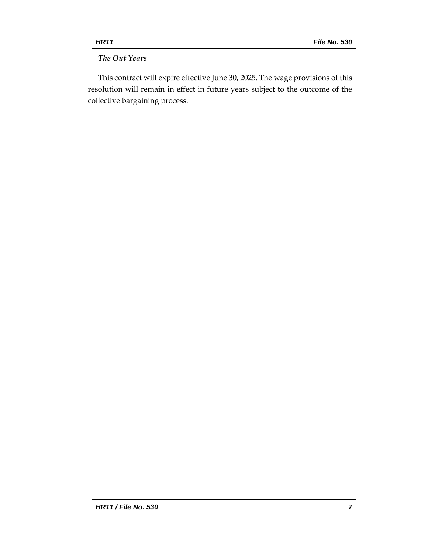# *The Out Years*

This contract will expire effective June 30, 2025. The wage provisions of this resolution will remain in effect in future years subject to the outcome of the collective bargaining process.